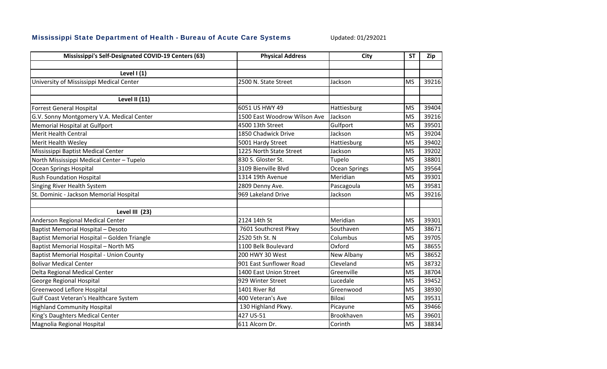## Mississippi State Department of Health - Bureau of Acute Care Systems

Updated: 01/292021

| Mississippi's Self-Designated COVID-19 Centers (63) | <b>Physical Address</b>      | <b>City</b>          | <b>ST</b> | Zip   |
|-----------------------------------------------------|------------------------------|----------------------|-----------|-------|
|                                                     |                              |                      |           |       |
| Level $(1)$                                         |                              |                      |           |       |
| University of Mississippi Medical Center            | 2500 N. State Street         | Jackson              | <b>MS</b> | 39216 |
|                                                     |                              |                      |           |       |
| <b>Level II (11)</b>                                |                              |                      |           |       |
| <b>Forrest General Hospital</b>                     | 6051 US HWY 49               | Hattiesburg          | <b>MS</b> | 39404 |
| G.V. Sonny Montgomery V.A. Medical Center           | 1500 East Woodrow Wilson Ave | Jackson              | <b>MS</b> | 39216 |
| Memorial Hospital at Gulfport                       | 4500 13th Street             | Gulfport             | <b>MS</b> | 39501 |
| <b>Merit Health Central</b>                         | 1850 Chadwick Drive          | Jackson              | <b>MS</b> | 39204 |
| Merit Health Wesley                                 | 5001 Hardy Street            | Hattiesburg          | <b>MS</b> | 39402 |
| Mississippi Baptist Medical Center                  | 1225 North State Street      | Jackson              | <b>MS</b> | 39202 |
| North Mississippi Medical Center - Tupelo           | 830 S. Gloster St.           | Tupelo               | <b>MS</b> | 38801 |
| Ocean Springs Hospital                              | 3109 Bienville Blvd          | <b>Ocean Springs</b> | <b>MS</b> | 39564 |
| <b>Rush Foundation Hospital</b>                     | 1314 19th Avenue             | Meridian             | <b>MS</b> | 39301 |
| Singing River Health System                         | 2809 Denny Ave.              | Pascagoula           | <b>MS</b> | 39581 |
| St. Dominic - Jackson Memorial Hospital             | 969 Lakeland Drive           | Jackson              | <b>MS</b> | 39216 |
|                                                     |                              |                      |           |       |
| Level III (23)                                      |                              |                      |           |       |
| Anderson Regional Medical Center                    | 2124 14th St                 | Meridian             | <b>MS</b> | 39301 |
| <b>Baptist Memorial Hospital - Desoto</b>           | 7601 Southcrest Pkwy         | Southaven            | <b>MS</b> | 38671 |
| Baptist Memorial Hospital - Golden Triangle         | 2520 5th St. N               | Columbus             | <b>MS</b> | 39705 |
| <b>Baptist Memorial Hospital - North MS</b>         | 1100 Belk Boulevard          | Oxford               | <b>MS</b> | 38655 |
| <b>Baptist Memorial Hospital - Union County</b>     | 200 HWY 30 West              | New Albany           | <b>MS</b> | 38652 |
| <b>Bolivar Medical Center</b>                       | 901 East Sunflower Road      | Cleveland            | <b>MS</b> | 38732 |
| Delta Regional Medical Center                       | 1400 East Union Street       | Greenville           | <b>MS</b> | 38704 |
| George Regional Hospital                            | 929 Winter Street            | Lucedale             | <b>MS</b> | 39452 |
| Greenwood Leflore Hospital                          | 1401 River Rd                | Greenwood            | <b>MS</b> | 38930 |
| Gulf Coast Veteran's Healthcare System              | 400 Veteran's Ave            | <b>Biloxi</b>        | <b>MS</b> | 39531 |
| <b>Highland Community Hospital</b>                  | 130 Highland Pkwy.           | Picayune             | <b>MS</b> | 39466 |
| King's Daughters Medical Center                     | 427 US-51                    | Brookhaven           | <b>MS</b> | 39601 |
| Magnolia Regional Hospital                          | 611 Alcorn Dr.               | Corinth              | <b>MS</b> | 38834 |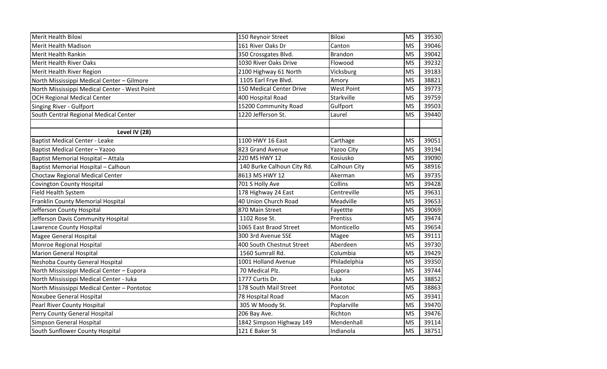| Merit Health Biloxi                           | 150 Reynoir Street         | Biloxi            | <b>MS</b> | 39530 |
|-----------------------------------------------|----------------------------|-------------------|-----------|-------|
| Merit Health Madison                          | 161 River Oaks Dr          | Canton            | <b>MS</b> | 39046 |
| Merit Health Rankin                           | 350 Crossgates Blvd.       | <b>Brandon</b>    | <b>MS</b> | 39042 |
| Merit Health River Oaks                       | 1030 River Oaks Drive      | Flowood           | <b>MS</b> | 39232 |
| Merit Health River Region                     | 2100 Highway 61 North      | Vicksburg         | <b>MS</b> | 39183 |
| North Mississippi Medical Center - Gilmore    | 1105 Earl Frye Blvd.       | Amory             | <b>MS</b> | 38821 |
| North Mississippi Medical Center - West Point | 150 Medical Center Drive   | <b>West Point</b> | <b>MS</b> | 39773 |
| OCH Regional Medical Center                   | 400 Hospital Road          | Starkville        | <b>MS</b> | 39759 |
| Singing River - Gulfport                      | 15200 Community Road       | Gulfport          | <b>MS</b> | 39503 |
| South Central Regional Medical Center         | 1220 Jefferson St.         | Laurel            | <b>MS</b> | 39440 |
| Level IV (28)                                 |                            |                   |           |       |
| <b>Baptist Medical Center - Leake</b>         | 1100 HWY 16 East           | Carthage          | <b>MS</b> | 39051 |
| <b>Baptist Medical Center - Yazoo</b>         | 823 Grand Avenue           | Yazoo City        | <b>MS</b> | 39194 |
| Baptist Memorial Hospital - Attala            | 220 MS HWY 12              | Kosiusko          | <b>MS</b> | 39090 |
| Baptist Memorial Hospital - Calhoun           | 140 Burke Calhoun City Rd. | Calhoun City      | <b>MS</b> | 38916 |
| Choctaw Regional Medical Center               | 8613 MS HWY 12             | Akerman           | <b>MS</b> | 39735 |
| <b>Covington County Hospital</b>              | 701 S Holly Ave            | Collins           | <b>MS</b> | 39428 |
| Field Health System                           | 178 Highway 24 East        | Centreville       | <b>MS</b> | 39631 |
| Franklin County Memorial Hospital             | 40 Union Church Road       | Meadville         | <b>MS</b> | 39653 |
| Jefferson County Hospital                     | 870 Main Street            | Fayettte          | <b>MS</b> | 39069 |
| Jefferson Davis Community Hospital            | 1102 Rose St.              | Prentiss          | <b>MS</b> | 39474 |
| Lawrence County Hospital                      | 1065 East Braod Street     | Monticello        | <b>MS</b> | 39654 |
| Magee General Hospital                        | 300 3rd Avenue SSE         | Magee             | <b>MS</b> | 39111 |
| Monroe Regional Hospital                      | 400 South Chestnut Street  | Aberdeen          | <b>MS</b> | 39730 |
| <b>Marion General Hospital</b>                | 1560 Sumrall Rd.           | Columbia          | <b>MS</b> | 39429 |
| Neshoba County General Hospital               | 1001 Holland Avenue        | Philadelphia      | <b>MS</b> | 39350 |
| North Mississippi Medical Center - Eupora     | 70 Medical Plz.            | Eupora            | <b>MS</b> | 39744 |
| North Mississippi Medical Center - luka       | 1777 Curtis Dr.            | luka              | <b>MS</b> | 38852 |
| North Mississippi Medical Center - Pontotoc   | 178 South Mail Street      | Pontotoc          | <b>MS</b> | 38863 |
| Noxubee General Hospital                      | 78 Hospital Road           | Macon             | <b>MS</b> | 39341 |
| <b>Pearl River County Hospital</b>            | 305 W Moody St.            | Poplarville       | <b>MS</b> | 39470 |
| Perry County General Hospital                 | 206 Bay Ave.               | Richton           | <b>MS</b> | 39476 |
| Simpson General Hospital                      | 1842 Simpson Highway 149   | Mendenhall        | <b>MS</b> | 39114 |
| South Sunflower County Hospital               | 121 E Baker St             | Indianola         | <b>MS</b> | 38751 |